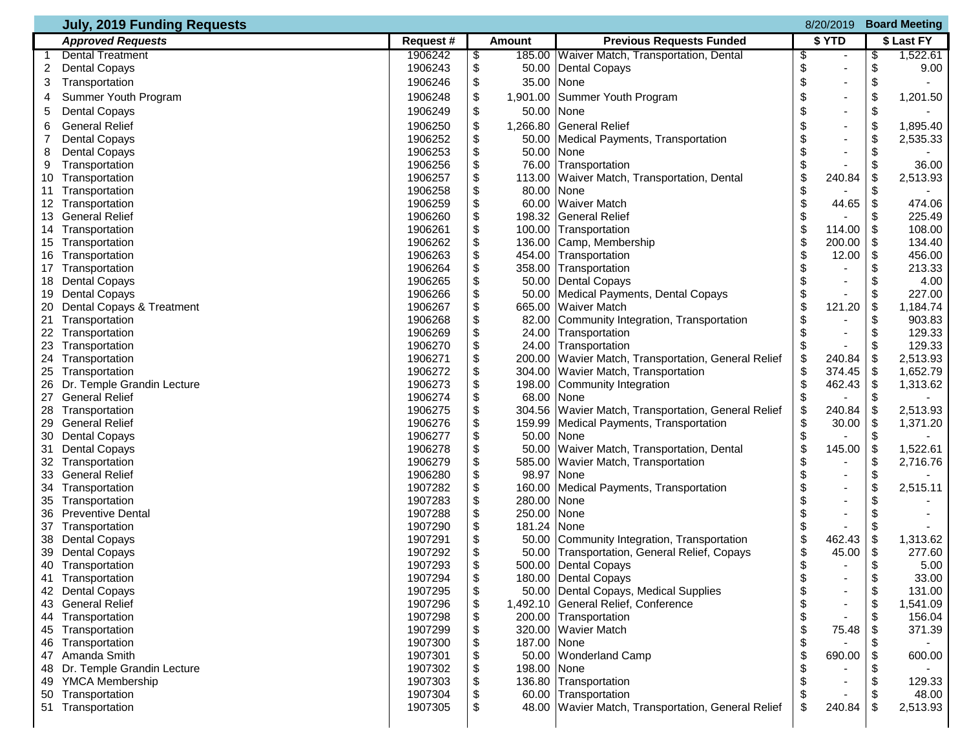|          | <b>July, 2019 Funding Requests</b>     |                    |                           |               |                                                     | 8/20/2019 |        |          | <b>Board Meeting</b> |  |  |
|----------|----------------------------------------|--------------------|---------------------------|---------------|-----------------------------------------------------|-----------|--------|----------|----------------------|--|--|
|          | <b>Approved Requests</b>               | Request#           |                           | <b>Amount</b> | <b>Previous Requests Funded</b>                     |           | \$ YTD |          | \$ Last FY           |  |  |
|          | <b>Dental Treatment</b>                | 1906242            | \$                        |               | 185.00 Waiver Match, Transportation, Dental         | \$        |        | \$       | 1,522.61             |  |  |
| 2        | <b>Dental Copays</b>                   | 1906243            | \$                        |               | 50.00 Dental Copays                                 | \$        |        | \$       | 9.00                 |  |  |
| 3        | Transportation                         | 1906246            | \$                        | 35.00 None    |                                                     | \$        |        | \$       |                      |  |  |
| 4        | Summer Youth Program                   | 1906248            | \$                        |               | 1,901.00 Summer Youth Program                       | \$        |        | \$       | 1,201.50             |  |  |
| 5        | Dental Copays                          | 1906249            | \$                        | 50.00 None    |                                                     | \$        |        | \$       |                      |  |  |
| 6        | <b>General Relief</b>                  | 1906250            | \$                        |               | 1,266.80 General Relief                             | \$        |        | \$       | 1,895.40             |  |  |
|          | <b>Dental Copays</b>                   | 1906252            | \$                        |               | 50.00 Medical Payments, Transportation              | \$        |        | \$       | 2,535.33             |  |  |
| 8        | <b>Dental Copays</b>                   | 1906253            | \$                        | 50.00 None    |                                                     | \$        |        | \$       |                      |  |  |
| 9        | Transportation                         | 1906256            | $\boldsymbol{\mathsf{S}}$ |               | 76.00 Transportation                                | \$        |        | \$       | 36.00                |  |  |
| 10       | Transportation                         | 1906257            | \$                        |               | 113.00 Waiver Match, Transportation, Dental         | \$        | 240.84 | \$       | 2,513.93             |  |  |
| 11       | Transportation                         | 1906258            | \$                        | 80.00 None    |                                                     |           |        | \$       |                      |  |  |
| 12       | Transportation                         | 1906259            | \$                        |               | 60.00 Waiver Match                                  | \$        | 44.65  | \$       | 474.06               |  |  |
|          | 13 General Relief                      | 1906260            | \$                        |               | 198.32 General Relief                               |           |        | \$       | 225.49               |  |  |
|          | 14 Transportation                      | 1906261            | \$                        |               | 100.00 Transportation                               | \$        | 114.00 | \$       | 108.00               |  |  |
| 15       | Transportation                         | 1906262            | \$                        |               | 136.00 Camp, Membership                             | \$        | 200.00 | \$       | 134.40               |  |  |
| 16       | Transportation                         | 1906263            | \$                        |               | 454.00 Transportation                               | \$        | 12.00  | \$       | 456.00               |  |  |
|          | 17 Transportation                      | 1906264            | \$                        |               | 358.00 Transportation                               |           |        | \$       | 213.33               |  |  |
| 18       | <b>Dental Copays</b>                   | 1906265            | \$                        |               | 50.00 Dental Copays                                 | \$        |        | \$       | 4.00                 |  |  |
| 19       | <b>Dental Copays</b>                   | 1906266            | \$                        |               | 50.00 Medical Payments, Dental Copays               | \$        |        | \$       | 227.00               |  |  |
| 20       | Dental Copays & Treatment              | 1906267            | \$                        |               | 665.00 Waiver Match                                 | \$        | 121.20 | \$       | 1,184.74             |  |  |
| 21       | Transportation                         | 1906268            | \$                        |               | 82.00 Community Integration, Transportation         | \$        |        | \$       | 903.83               |  |  |
|          | 22 Transportation                      | 1906269            | \$                        |               | 24.00 Transportation                                | \$        |        | \$       | 129.33               |  |  |
| 23       | Transportation                         | 1906270            | \$                        |               | 24.00 Transportation                                | \$        |        | \$       | 129.33               |  |  |
| 24       | Transportation                         | 1906271            | \$                        |               | 200.00 Wavier Match, Transportation, General Relief | \$        | 240.84 | \$       | 2,513.93             |  |  |
| 25       | Transportation                         | 1906272            | \$                        |               | 304.00 Wavier Match, Transportation                 | \$        | 374.45 | \$       | 1,652.79             |  |  |
| 26       | Dr. Temple Grandin Lecture             | 1906273            | \$                        | 198.00        | Community Integration                               | \$        | 462.43 | \$       | 1,313.62             |  |  |
| 27       | <b>General Relief</b>                  | 1906274            | \$                        | 68.00 None    |                                                     |           |        | \$       |                      |  |  |
| 28       | Transportation                         | 1906275            | \$<br>\$                  |               | 304.56 Wavier Match, Transportation, General Relief | \$<br>\$  | 240.84 | \$       | 2,513.93             |  |  |
| 29       | <b>General Relief</b>                  | 1906276            | \$                        |               | 159.99 Medical Payments, Transportation             |           | 30.00  | \$<br>\$ | 1,371.20             |  |  |
|          | 30 Dental Copays                       | 1906277<br>1906278 | \$                        | 50.00 None    | 50.00 Waiver Match, Transportation, Dental          | \$        | 145.00 | \$       | 1,522.61             |  |  |
| 31<br>32 | <b>Dental Copays</b><br>Transportation | 1906279            | \$                        |               | 585.00 Wavier Match, Transportation                 |           |        | \$       | 2,716.76             |  |  |
|          | 33 General Relief                      | 1906280            | \$                        | 98.97 None    |                                                     |           |        | \$       |                      |  |  |
|          | 34 Transportation                      | 1907282            | \$                        |               | 160.00 Medical Payments, Transportation             |           |        |          | 2,515.11             |  |  |
| 35       | Transportation                         | 1907283            | \$                        | 280.00 None   |                                                     | \$        |        |          |                      |  |  |
| 36       | <b>Preventive Dental</b>               | 1907288            | \$                        | 250.00 None   |                                                     |           |        | \$       |                      |  |  |
| 37       | Transportation                         | 1907290            | \$                        | 181.24 None   |                                                     | \$        |        |          |                      |  |  |
|          | 38 Dental Copays                       | 1907291            | \$                        |               | 50.00 Community Integration, Transportation         | \$        | 462.43 | \$       | 1,313.62             |  |  |
|          | 39 Dental Copays                       | 1907292            | \$                        |               | 50.00 Transportation, General Relief, Copays        | \$        | 45.00  | \$       | 277.60               |  |  |
|          | 40 Transportation                      | 1907293            | \$                        |               | 500.00 Dental Copays                                | \$        |        | \$       | 5.00                 |  |  |
| 41       | Transportation                         | 1907294            | \$                        |               | 180.00 Dental Copays                                | \$        |        | \$       | 33.00                |  |  |
|          | 42 Dental Copays                       | 1907295            | \$                        |               | 50.00 Dental Copays, Medical Supplies               |           |        |          | 131.00               |  |  |
| 43       | <b>General Relief</b>                  | 1907296            | $\boldsymbol{\theta}$     |               | 1,492.10 General Relief, Conference                 | \$        |        | \$       | 1,541.09             |  |  |
| 44       | Transportation                         | 1907298            | $\boldsymbol{\theta}$     |               | 200.00 Transportation                               | \$        |        | \$       | 156.04               |  |  |
| 45       | Transportation                         | 1907299            | $\boldsymbol{\theta}$     |               | 320.00 Wavier Match                                 | \$        | 75.48  | \$       | 371.39               |  |  |
| 46       | Transportation                         | 1907300            | \$                        | 187.00 None   |                                                     |           |        |          |                      |  |  |
|          | 47 Amanda Smith                        | 1907301            | \$                        |               | 50.00 Wonderland Camp                               | \$        | 690.00 |          | 600.00               |  |  |
| 48       | Dr. Temple Grandin Lecture             | 1907302            | \$                        | 198.00 None   |                                                     |           |        |          |                      |  |  |
| 49       | <b>YMCA Membership</b>                 | 1907303            | $\boldsymbol{\$}$         |               | 136.80 Transportation                               |           |        |          | 129.33               |  |  |
|          | 50 Transportation                      | 1907304            | $\boldsymbol{\theta}$     |               | 60.00 Transportation                                |           |        |          | 48.00                |  |  |
|          | 51 Transportation                      | 1907305            | $\sqrt[6]{\frac{1}{2}}$   |               | 48.00 Wavier Match, Transportation, General Relief  | \$        | 240.84 | -\$      | 2,513.93             |  |  |

 $\mathbf{I}$